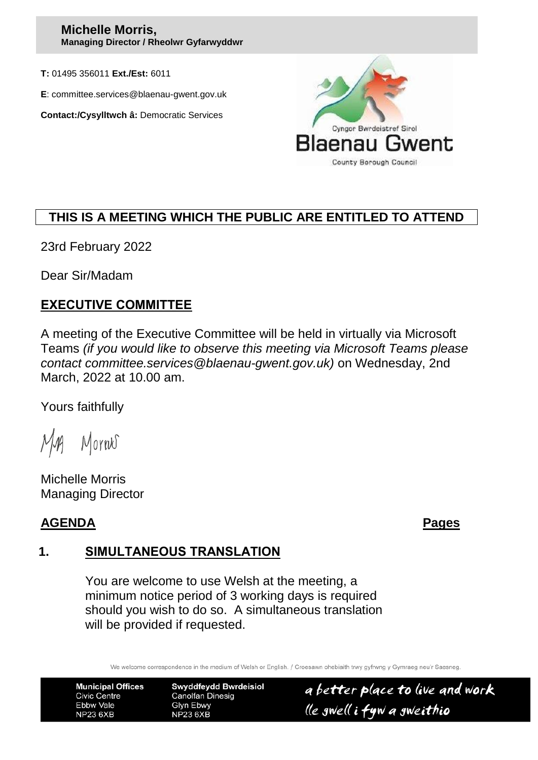#### **Michelle Morris, Managing Director / Rheolwr Gyfarwyddwr**

**T:** 01495 356011 **Ext./Est:** 6011

**E**: committee.services@blaenau-gwent.gov.uk

**Contact:/Cysylltwch â:** Democratic Services



# **THIS IS A MEETING WHICH THE PUBLIC ARE ENTITLED TO ATTEND**

23rd February 2022

Dear Sir/Madam

## **EXECUTIVE COMMITTEE**

A meeting of the Executive Committee will be held in virtually via Microsoft Teams *(if you would like to observe this meeting via Microsoft Teams please contact committee.services@blaenau-gwent.gov.uk)* on Wednesday, 2nd March, 2022 at 10.00 am.

Yours faithfully

Morres

Michelle Morris Managing Director

# **AGENDA Pages**

# **1. SIMULTANEOUS TRANSLATION**

You are welcome to use Welsh at the meeting, a minimum notice period of 3 working days is required should you wish to do so. A simultaneous translation will be provided if requested.

We welcome correspondence in the medium of Welsh or English. / Croesawn ohebiaith trwy gyfrwng y Gymraeg neu'r Saesneg

**Municipal Offices Civic Centre** Ebbw Vale **NP23 6XB** 

**Swyddfeydd Bwrdeisiol Canolfan Dinesig** Glyn Ebwy **NP23 6XB** 

a better place to live and work lle gwell i fyw a gweithio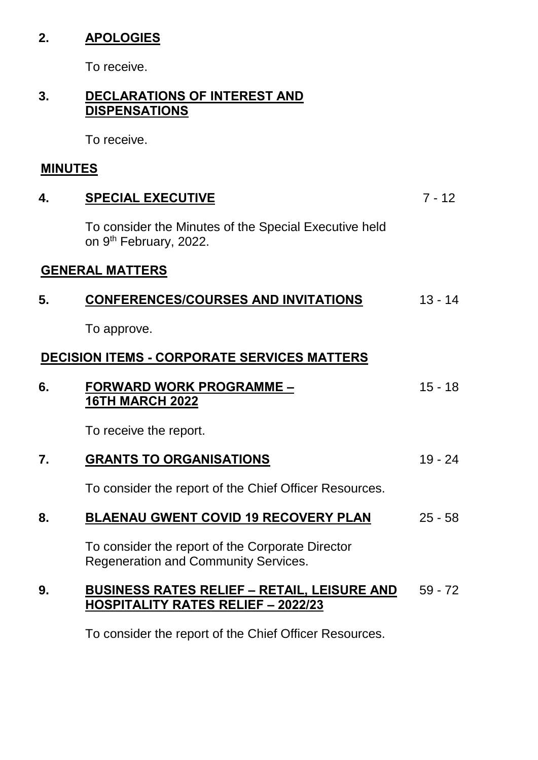# **2. APOLOGIES**

To receive.

### **3. DECLARATIONS OF INTEREST AND DISPENSATIONS**

To receive.

# **MINUTES**

| 4. | <b>SPECIAL EXECUTIVE</b>                                                                        | $7 - 12$  |
|----|-------------------------------------------------------------------------------------------------|-----------|
|    | To consider the Minutes of the Special Executive held<br>on 9 <sup>th</sup> February, 2022.     |           |
|    | <b>GENERAL MATTERS</b>                                                                          |           |
| 5. | <b>CONFERENCES/COURSES AND INVITATIONS</b>                                                      | $13 - 14$ |
|    | To approve.                                                                                     |           |
|    | <b>DECISION ITEMS - CORPORATE SERVICES MATTERS</b>                                              |           |
| 6. | <b>FORWARD WORK PROGRAMME -</b><br><b>16TH MARCH 2022</b>                                       | $15 - 18$ |
|    | To receive the report.                                                                          |           |
| 7. | <b>GRANTS TO ORGANISATIONS</b>                                                                  | $19 - 24$ |
|    | To consider the report of the Chief Officer Resources.                                          |           |
| 8. | <b>BLAENAU GWENT COVID 19 RECOVERY PLAN</b>                                                     | $25 - 58$ |
|    | To consider the report of the Corporate Director<br><b>Regeneration and Community Services.</b> |           |
| 9. | <b>BUSINESS RATES RELIEF - RETAIL, LEISURE AND</b><br>HOSPITALITY RATES RELIEF - 2022/23        | $59 - 72$ |
|    | To consider the report of the Chief Officer Resources.                                          |           |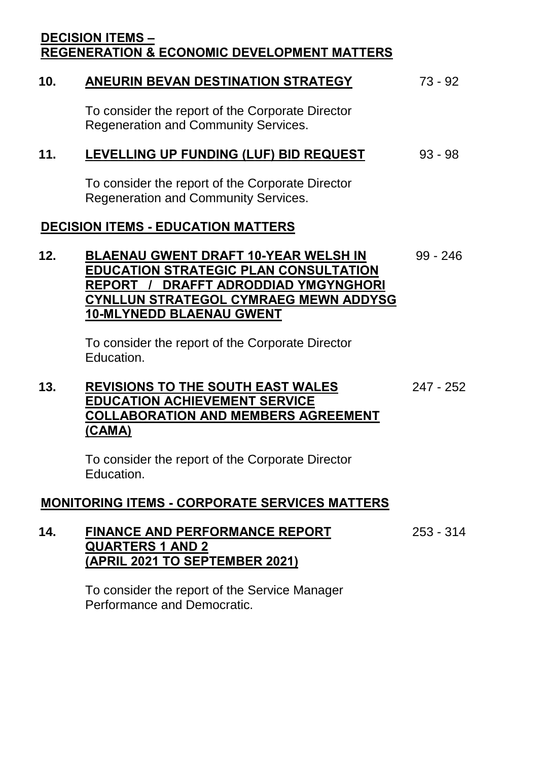### **DECISION ITEMS – REGENERATION & ECONOMIC DEVELOPMENT MATTERS**

# **10. ANEURIN BEVAN DESTINATION STRATEGY** 73 - 92

To consider the report of the Corporate Director Regeneration and Community Services.

### **11. LEVELLING UP FUNDING (LUF) BID REQUEST** 93 - 98

To consider the report of the Corporate Director Regeneration and Community Services.

### **DECISION ITEMS - EDUCATION MATTERS**

#### **12. BLAENAU GWENT DRAFT 10-YEAR WELSH IN EDUCATION STRATEGIC PLAN CONSULTATION REPORT / DRAFFT ADRODDIAD YMGYNGHORI CYNLLUN STRATEGOL CYMRAEG MEWN ADDYSG 10-MLYNEDD BLAENAU GWENT** 99 - 246

To consider the report of the Corporate Director Education.

#### **13. REVISIONS TO THE SOUTH EAST WALES EDUCATION ACHIEVEMENT SERVICE COLLABORATION AND MEMBERS AGREEMENT (CAMA)** 247 - 252

To consider the report of the Corporate Director Education.

### **MONITORING ITEMS - CORPORATE SERVICES MATTERS**

| 14. | <b>FINANCE AND PERFORMANCE REPORT</b> | 253 - 314 |
|-----|---------------------------------------|-----------|
|     | <b>QUARTERS 1 AND 2</b>               |           |
|     | (APRIL 2021 TO SEPTEMBER 2021)        |           |

To consider the report of the Service Manager Performance and Democratic.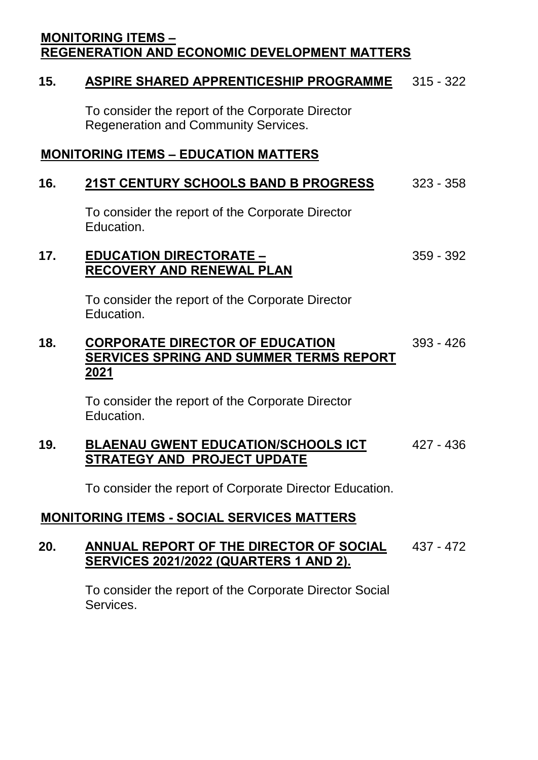### **MONITORING ITEMS – REGENERATION AND ECONOMIC DEVELOPMENT MATTERS**

### **15. ASPIRE SHARED APPRENTICESHIP PROGRAMME** 315 - 322

To consider the report of the Corporate Director Regeneration and Community Services.

### **MONITORING ITEMS – EDUCATION MATTERS**

### **16. 21ST CENTURY SCHOOLS BAND B PROGRESS** 323 - 358

To consider the report of the Corporate Director Education.

#### **17. EDUCATION DIRECTORATE – RECOVERY AND RENEWAL PLAN** 359 - 392

To consider the report of the Corporate Director Education.

#### **18. CORPORATE DIRECTOR OF EDUCATION SERVICES SPRING AND SUMMER TERMS REPORT 2021** 393 - 426

To consider the report of the Corporate Director Education.

#### **19. BLAENAU GWENT EDUCATION/SCHOOLS ICT STRATEGY AND PROJECT UPDATE** 427 - 436

To consider the report of Corporate Director Education.

## **MONITORING ITEMS - SOCIAL SERVICES MATTERS**

#### **20. ANNUAL REPORT OF THE DIRECTOR OF SOCIAL SERVICES 2021/2022 (QUARTERS 1 AND 2).** 437 - 472

To consider the report of the Corporate Director Social Services.